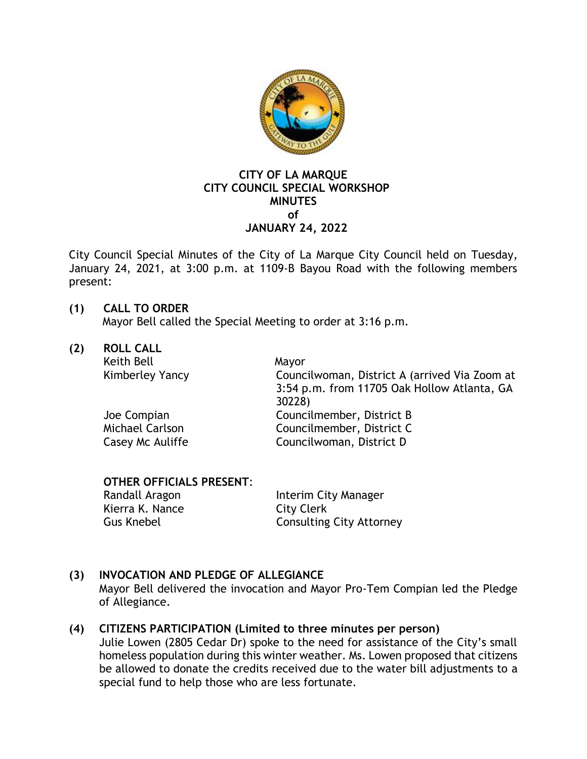

## **CITY OF LA MARQUE CITY COUNCIL SPECIAL WORKSHOP MINUTES of JANUARY 24, 2022**

City Council Special Minutes of the City of La Marque City Council held on Tuesday, January 24, 2021, at 3:00 p.m. at 1109-B Bayou Road with the following members present:

# **(1) CALL TO ORDER**

Mayor Bell called the Special Meeting to order at 3:16 p.m.

**(2) ROLL CALL** 

Keith Bell Mayor

Kimberley Yancy Councilwoman, District A (arrived Via Zoom at 3:54 p.m. from 11705 Oak Hollow Atlanta, GA 30228) Joe Compian Councilmember, District B Michael Carlson Councilmember, District C Casey Mc Auliffe Councilwoman, District D

# **OTHER OFFICIALS PRESENT**:

Randall Aragon **Interim City Manager** Kierra K. Nance City Clerk Gus Knebel Consulting City Attorney

# **(3) INVOCATION AND PLEDGE OF ALLEGIANCE**

Mayor Bell delivered the invocation and Mayor Pro-Tem Compian led the Pledge of Allegiance.

# **(4) CITIZENS PARTICIPATION (Limited to three minutes per person)**

Julie Lowen (2805 Cedar Dr) spoke to the need for assistance of the City's small homeless population during this winter weather. Ms. Lowen proposed that citizens be allowed to donate the credits received due to the water bill adjustments to a special fund to help those who are less fortunate.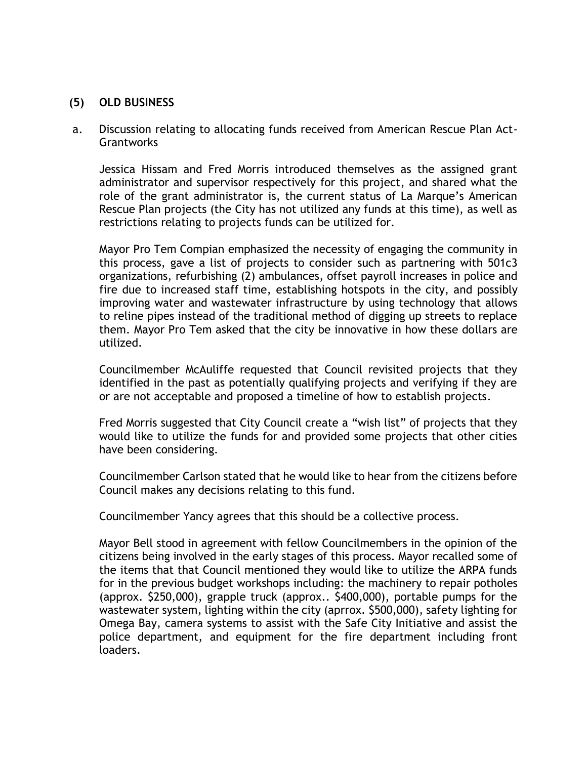#### **(5) OLD BUSINESS**

a. Discussion relating to allocating funds received from American Rescue Plan Act-**Grantworks** 

Jessica Hissam and Fred Morris introduced themselves as the assigned grant administrator and supervisor respectively for this project, and shared what the role of the grant administrator is, the current status of La Marque's American Rescue Plan projects (the City has not utilized any funds at this time), as well as restrictions relating to projects funds can be utilized for.

Mayor Pro Tem Compian emphasized the necessity of engaging the community in this process, gave a list of projects to consider such as partnering with 501c3 organizations, refurbishing (2) ambulances, offset payroll increases in police and fire due to increased staff time, establishing hotspots in the city, and possibly improving water and wastewater infrastructure by using technology that allows to reline pipes instead of the traditional method of digging up streets to replace them. Mayor Pro Tem asked that the city be innovative in how these dollars are utilized.

Councilmember McAuliffe requested that Council revisited projects that they identified in the past as potentially qualifying projects and verifying if they are or are not acceptable and proposed a timeline of how to establish projects.

Fred Morris suggested that City Council create a "wish list" of projects that they would like to utilize the funds for and provided some projects that other cities have been considering.

Councilmember Carlson stated that he would like to hear from the citizens before Council makes any decisions relating to this fund.

Councilmember Yancy agrees that this should be a collective process.

Mayor Bell stood in agreement with fellow Councilmembers in the opinion of the citizens being involved in the early stages of this process. Mayor recalled some of the items that that Council mentioned they would like to utilize the ARPA funds for in the previous budget workshops including: the machinery to repair potholes (approx. \$250,000), grapple truck (approx.. \$400,000), portable pumps for the wastewater system, lighting within the city (aprrox. \$500,000), safety lighting for Omega Bay, camera systems to assist with the Safe City Initiative and assist the police department, and equipment for the fire department including front loaders.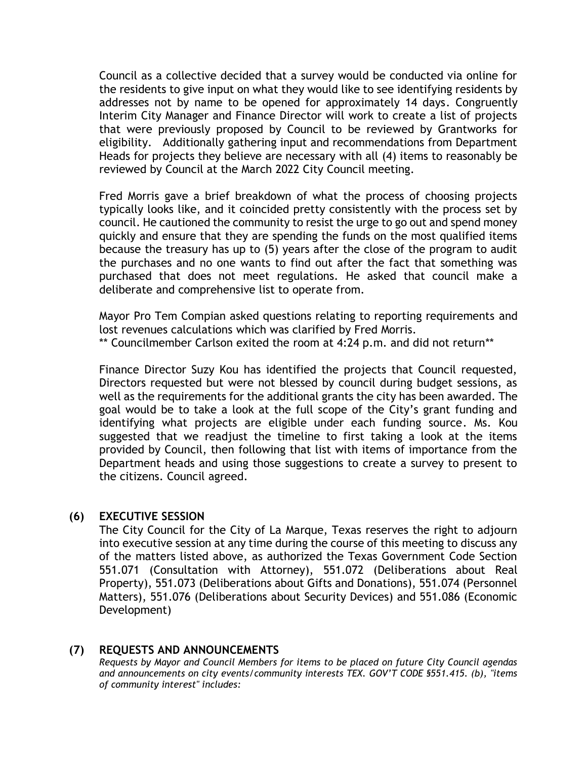Council as a collective decided that a survey would be conducted via online for the residents to give input on what they would like to see identifying residents by addresses not by name to be opened for approximately 14 days. Congruently Interim City Manager and Finance Director will work to create a list of projects that were previously proposed by Council to be reviewed by Grantworks for eligibility. Additionally gathering input and recommendations from Department Heads for projects they believe are necessary with all (4) items to reasonably be reviewed by Council at the March 2022 City Council meeting.

Fred Morris gave a brief breakdown of what the process of choosing projects typically looks like, and it coincided pretty consistently with the process set by council. He cautioned the community to resist the urge to go out and spend money quickly and ensure that they are spending the funds on the most qualified items because the treasury has up to (5) years after the close of the program to audit the purchases and no one wants to find out after the fact that something was purchased that does not meet regulations. He asked that council make a deliberate and comprehensive list to operate from.

Mayor Pro Tem Compian asked questions relating to reporting requirements and lost revenues calculations which was clarified by Fred Morris.

\*\* Councilmember Carlson exited the room at 4:24 p.m. and did not return\*\*

Finance Director Suzy Kou has identified the projects that Council requested, Directors requested but were not blessed by council during budget sessions, as well as the requirements for the additional grants the city has been awarded. The goal would be to take a look at the full scope of the City's grant funding and identifying what projects are eligible under each funding source. Ms. Kou suggested that we readjust the timeline to first taking a look at the items provided by Council, then following that list with items of importance from the Department heads and using those suggestions to create a survey to present to the citizens. Council agreed.

#### **(6) EXECUTIVE SESSION**

The City Council for the City of La Marque, Texas reserves the right to adjourn into executive session at any time during the course of this meeting to discuss any of the matters listed above, as authorized the Texas Government Code Section 551.071 (Consultation with Attorney), 551.072 (Deliberations about Real Property), 551.073 (Deliberations about Gifts and Donations), 551.074 (Personnel Matters), 551.076 (Deliberations about Security Devices) and 551.086 (Economic Development)

## **(7) REQUESTS AND ANNOUNCEMENTS**

*Requests by Mayor and Council Members for items to be placed on future City Council agendas and announcements on city events/community interests TEX. GOV'T CODE §551.415. (b), "items of community interest" includes:*